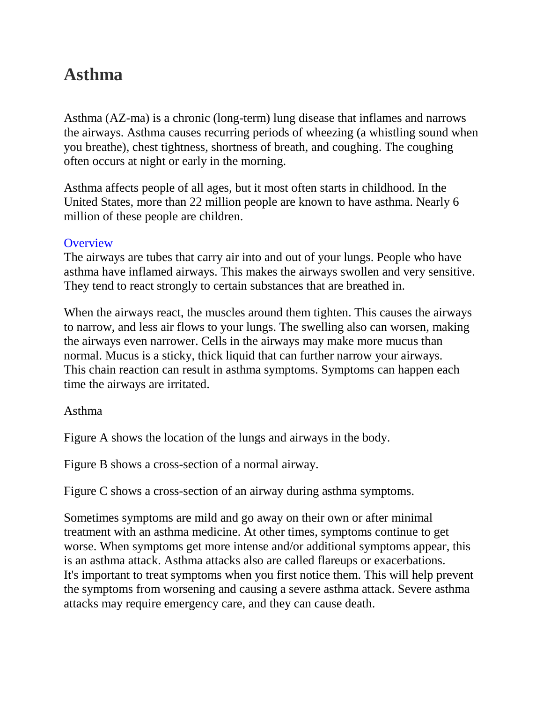# **Asthma**

Asthma (AZ-ma) is a chronic (long-term) lung disease that inflames and narrows the airways. Asthma causes recurring periods of wheezing (a whistling sound when you breathe), chest tightness, shortness of breath, and coughing. The coughing often occurs at night or early in the morning.

Asthma affects people of all ages, but it most often starts in childhood. In the United States, more than 22 million people are known to have asthma. Nearly 6 million of these people are children.

#### **Overview**

The airways are tubes that carry air into and out of your lungs. People who have asthma have inflamed airways. This makes the airways swollen and very sensitive. They tend to react strongly to certain substances that are breathed in.

When the airways react, the muscles around them tighten. This causes the airways to narrow, and less air flows to your lungs. The swelling also can worsen, making the airways even narrower. Cells in the airways may make more mucus than normal. Mucus is a sticky, thick liquid that can further narrow your airways. This chain reaction can result in asthma symptoms. Symptoms can happen each time the airways are irritated.

Asthma

Figure A shows the location of the lungs and airways in the body.

Figure B shows a cross-section of a normal airway.

Figure C shows a cross-section of an airway during asthma symptoms.

Sometimes symptoms are mild and go away on their own or after minimal treatment with an asthma medicine. At other times, symptoms continue to get worse. When symptoms get more intense and/or additional symptoms appear, this is an asthma attack. Asthma attacks also are called flareups or exacerbations. It's important to treat symptoms when you first notice them. This will help prevent the symptoms from worsening and causing a severe asthma attack. Severe asthma attacks may require emergency care, and they can cause death.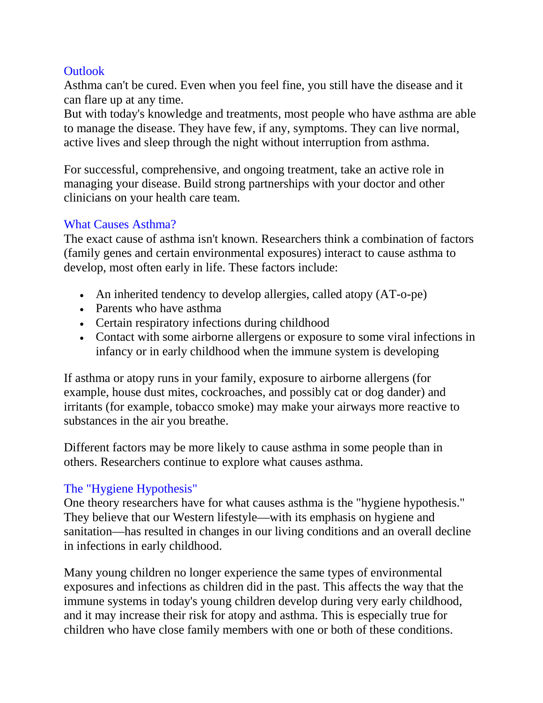# **Outlook**

Asthma can't be cured. Even when you feel fine, you still have the disease and it can flare up at any time.

But with today's knowledge and treatments, most people who have asthma are able to manage the disease. They have few, if any, symptoms. They can live normal, active lives and sleep through the night without interruption from asthma.

For successful, comprehensive, and ongoing treatment, take an active role in managing your disease. Build strong partnerships with your doctor and other clinicians on your health care team.

# What Causes Asthma?

The exact cause of asthma isn't known. Researchers think a combination of factors (family genes and certain environmental exposures) interact to cause asthma to develop, most often early in life. These factors include:

- An inherited tendency to develop allergies, called atopy (AT-o-pe)
- Parents who have asthma
- Certain respiratory infections during childhood
- Contact with some airborne allergens or exposure to some viral infections in infancy or in early childhood when the immune system is developing

If asthma or atopy runs in your family, exposure to airborne allergens (for example, house dust mites, cockroaches, and possibly cat or dog dander) and irritants (for example, tobacco smoke) may make your airways more reactive to substances in the air you breathe.

Different factors may be more likely to cause asthma in some people than in others. Researchers continue to explore what causes asthma.

# The "Hygiene Hypothesis"

One theory researchers have for what causes asthma is the "hygiene hypothesis." They believe that our Western lifestyle—with its emphasis on hygiene and sanitation—has resulted in changes in our living conditions and an overall decline in infections in early childhood.

Many young children no longer experience the same types of environmental exposures and infections as children did in the past. This affects the way that the immune systems in today's young children develop during very early childhood, and it may increase their risk for atopy and asthma. This is especially true for children who have close family members with one or both of these conditions.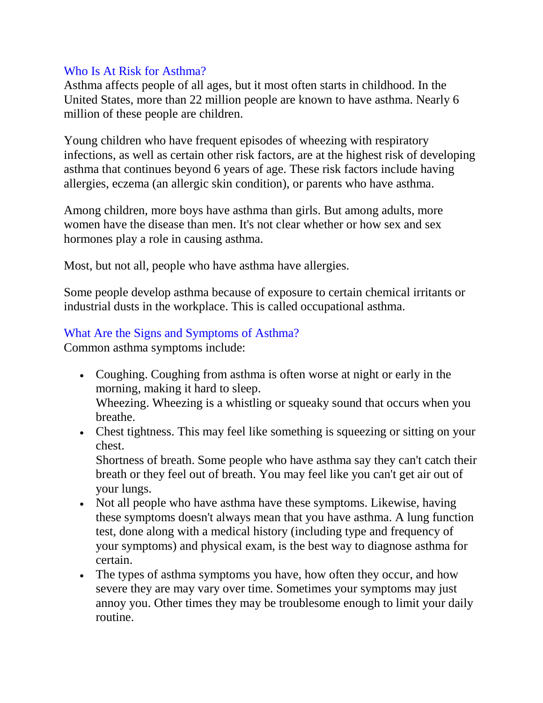#### Who Is At Risk for Asthma?

Asthma affects people of all ages, but it most often starts in childhood. In the United States, more than 22 million people are known to have asthma. Nearly 6 million of these people are children.

Young children who have frequent episodes of wheezing with respiratory infections, as well as certain other risk factors, are at the highest risk of developing asthma that continues beyond 6 years of age. These risk factors include having allergies, eczema (an allergic skin condition), or parents who have asthma.

Among children, more boys have asthma than girls. But among adults, more women have the disease than men. It's not clear whether or how sex and sex hormones play a role in causing asthma.

Most, but not all, people who have asthma have allergies.

Some people develop asthma because of exposure to certain chemical irritants or industrial dusts in the workplace. This is called occupational asthma.

# What Are the Signs and Symptoms of Asthma?

Common asthma symptoms include:

- Coughing. Coughing from asthma is often worse at night or early in the morning, making it hard to sleep. Wheezing. Wheezing is a whistling or squeaky sound that occurs when you breathe.
- Chest tightness. This may feel like something is squeezing or sitting on your chest. Shortness of breath. Some people who have asthma say they can't catch their

breath or they feel out of breath. You may feel like you can't get air out of your lungs.

- Not all people who have asthma have these symptoms. Likewise, having these symptoms doesn't always mean that you have asthma. A lung function test, done along with a medical history (including type and frequency of your symptoms) and physical exam, is the best way to diagnose asthma for certain.
- The types of asthma symptoms you have, how often they occur, and how severe they are may vary over time. Sometimes your symptoms may just annoy you. Other times they may be troublesome enough to limit your daily routine.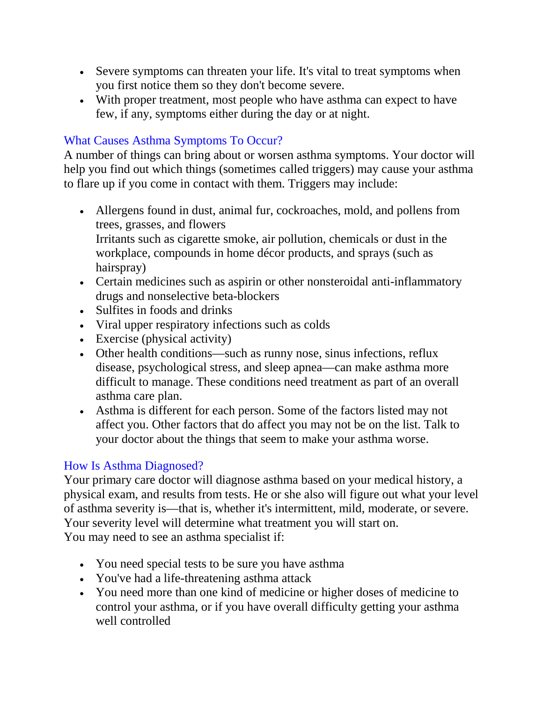- Severe symptoms can threaten your life. It's vital to treat symptoms when you first notice them so they don't become severe.
- With proper treatment, most people who have asthma can expect to have few, if any, symptoms either during the day or at night.

# What Causes Asthma Symptoms To Occur?

A number of things can bring about or worsen asthma symptoms. Your doctor will help you find out which things (sometimes called triggers) may cause your asthma to flare up if you come in contact with them. Triggers may include:

• Allergens found in dust, animal fur, cockroaches, mold, and pollens from trees, grasses, and flowers

Irritants such as cigarette smoke, air pollution, chemicals or dust in the workplace, compounds in home décor products, and sprays (such as hairspray)

- Certain medicines such as aspirin or other nonsteroidal anti-inflammatory drugs and nonselective beta-blockers
- Sulfites in foods and drinks
- Viral upper respiratory infections such as colds
- Exercise (physical activity)
- Other health conditions—such as runny nose, sinus infections, reflux disease, psychological stress, and sleep apnea—can make asthma more difficult to manage. These conditions need treatment as part of an overall asthma care plan.
- Asthma is different for each person. Some of the factors listed may not affect you. Other factors that do affect you may not be on the list. Talk to your doctor about the things that seem to make your asthma worse.

# How Is Asthma Diagnosed?

Your primary care doctor will diagnose asthma based on your medical history, a physical exam, and results from tests. He or she also will figure out what your level of asthma severity is—that is, whether it's intermittent, mild, moderate, or severe. Your severity level will determine what treatment you will start on. You may need to see an asthma specialist if:

- You need special tests to be sure you have asthma
- You've had a life-threatening asthma attack
- You need more than one kind of medicine or higher doses of medicine to control your asthma, or if you have overall difficulty getting your asthma well controlled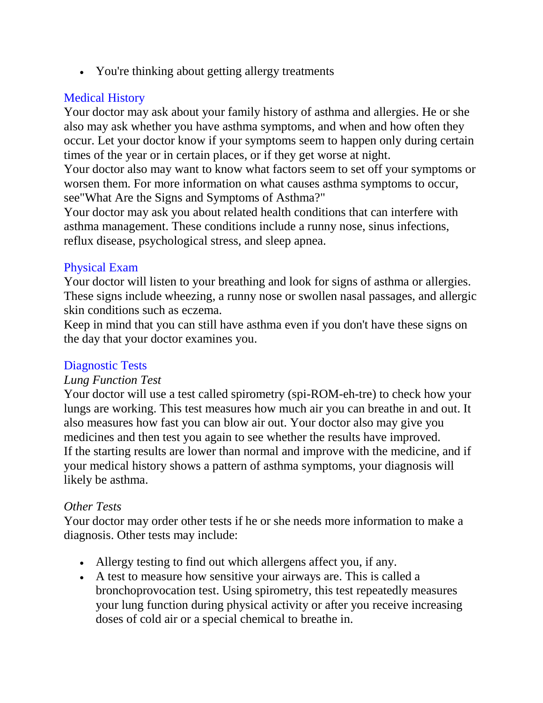• You're thinking about getting allergy treatments

### Medical History

Your doctor may ask about your family history of asthma and allergies. He or she also may ask whether you have asthma symptoms, and when and how often they occur. Let your doctor know if your symptoms seem to happen only during certain times of the year or in certain places, or if they get worse at night.

Your doctor also may want to know what factors seem to set off your symptoms or worsen them. For more information on what causes asthma symptoms to occur, see"What Are the Signs and Symptoms of Asthma?"

Your doctor may ask you about related health conditions that can interfere with asthma management. These conditions include a runny nose, sinus infections, reflux disease, psychological stress, and sleep apnea.

#### Physical Exam

Your doctor will listen to your breathing and look for signs of asthma or allergies. These signs include wheezing, a runny nose or swollen nasal passages, and allergic skin conditions such as eczema.

Keep in mind that you can still have asthma even if you don't have these signs on the day that your doctor examines you.

# Diagnostic Tests

#### *Lung Function Test*

Your doctor will use a test called spirometry (spi-ROM-eh-tre) to check how your lungs are working. This test measures how much air you can breathe in and out. It also measures how fast you can blow air out. Your doctor also may give you medicines and then test you again to see whether the results have improved. If the starting results are lower than normal and improve with the medicine, and if your medical history shows a pattern of asthma symptoms, your diagnosis will likely be asthma.

#### *Other Tests*

Your doctor may order other tests if he or she needs more information to make a diagnosis. Other tests may include:

- Allergy testing to find out which allergens affect you, if any.
- A test to measure how sensitive your airways are. This is called a bronchoprovocation test. Using spirometry, this test repeatedly measures your lung function during physical activity or after you receive increasing doses of cold air or a special chemical to breathe in.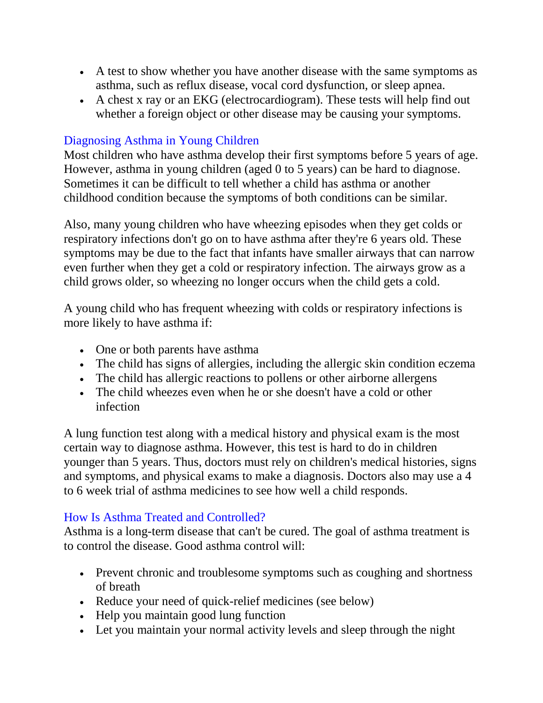- A test to show whether you have another disease with the same symptoms as asthma, such as reflux disease, vocal cord dysfunction, or sleep apnea.
- A chest x ray or an EKG (electrocardiogram). These tests will help find out whether a foreign object or other disease may be causing your symptoms.

# Diagnosing Asthma in Young Children

Most children who have asthma develop their first symptoms before 5 years of age. However, asthma in young children (aged 0 to 5 years) can be hard to diagnose. Sometimes it can be difficult to tell whether a child has asthma or another childhood condition because the symptoms of both conditions can be similar.

Also, many young children who have wheezing episodes when they get colds or respiratory infections don't go on to have asthma after they're 6 years old. These symptoms may be due to the fact that infants have smaller airways that can narrow even further when they get a cold or respiratory infection. The airways grow as a child grows older, so wheezing no longer occurs when the child gets a cold.

A young child who has frequent wheezing with colds or respiratory infections is more likely to have asthma if:

- One or both parents have asthma
- The child has signs of allergies, including the allergic skin condition eczema
- The child has allergic reactions to pollens or other airborne allergens
- The child wheezes even when he or she doesn't have a cold or other infection

A lung function test along with a medical history and physical exam is the most certain way to diagnose asthma. However, this test is hard to do in children younger than 5 years. Thus, doctors must rely on children's medical histories, signs and symptoms, and physical exams to make a diagnosis. Doctors also may use a 4 to 6 week trial of asthma medicines to see how well a child responds.

#### How Is Asthma Treated and Controlled?

Asthma is a long-term disease that can't be cured. The goal of asthma treatment is to control the disease. Good asthma control will:

- Prevent chronic and troublesome symptoms such as coughing and shortness of breath
- Reduce your need of quick-relief medicines (see below)
- Help you maintain good lung function
- Let you maintain your normal activity levels and sleep through the night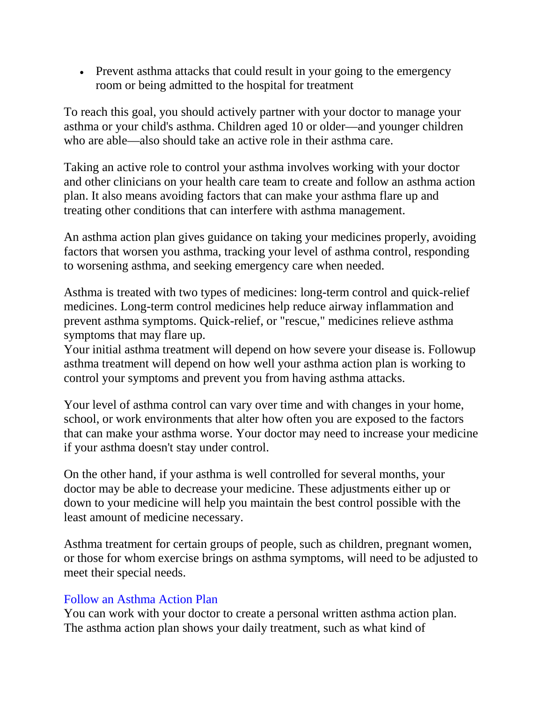• Prevent asthma attacks that could result in your going to the emergency room or being admitted to the hospital for treatment

To reach this goal, you should actively partner with your doctor to manage your asthma or your child's asthma. Children aged 10 or older—and younger children who are able—also should take an active role in their asthma care.

Taking an active role to control your asthma involves working with your doctor and other clinicians on your health care team to create and follow an asthma action plan. It also means avoiding factors that can make your asthma flare up and treating other conditions that can interfere with asthma management.

An asthma action plan gives guidance on taking your medicines properly, avoiding factors that worsen you asthma, tracking your level of asthma control, responding to worsening asthma, and seeking emergency care when needed.

Asthma is treated with two types of medicines: long-term control and quick-relief medicines. Long-term control medicines help reduce airway inflammation and prevent asthma symptoms. Quick-relief, or "rescue," medicines relieve asthma symptoms that may flare up.

Your initial asthma treatment will depend on how severe your disease is. Followup asthma treatment will depend on how well your asthma action plan is working to control your symptoms and prevent you from having asthma attacks.

Your level of asthma control can vary over time and with changes in your home, school, or work environments that alter how often you are exposed to the factors that can make your asthma worse. Your doctor may need to increase your medicine if your asthma doesn't stay under control.

On the other hand, if your asthma is well controlled for several months, your doctor may be able to decrease your medicine. These adjustments either up or down to your medicine will help you maintain the best control possible with the least amount of medicine necessary.

Asthma treatment for certain groups of people, such as children, pregnant women, or those for whom exercise brings on asthma symptoms, will need to be adjusted to meet their special needs.

# Follow an Asthma Action Plan

You can work with your doctor to create a personal written asthma action plan. The asthma action plan shows your daily treatment, such as what kind of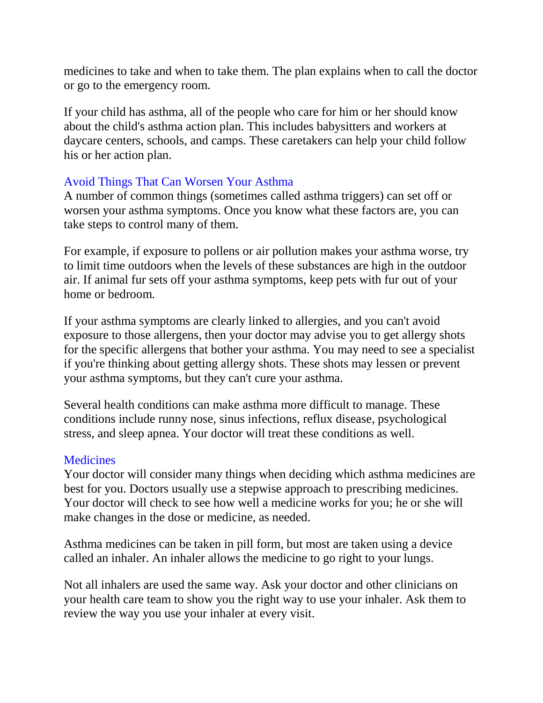medicines to take and when to take them. The plan explains when to call the doctor or go to the emergency room.

If your child has asthma, all of the people who care for him or her should know about the child's asthma action plan. This includes babysitters and workers at daycare centers, schools, and camps. These caretakers can help your child follow his or her action plan.

# Avoid Things That Can Worsen Your Asthma

A number of common things (sometimes called asthma triggers) can set off or worsen your asthma symptoms. Once you know what these factors are, you can take steps to control many of them.

For example, if exposure to pollens or air pollution makes your asthma worse, try to limit time outdoors when the levels of these substances are high in the outdoor air. If animal fur sets off your asthma symptoms, keep pets with fur out of your home or bedroom.

If your asthma symptoms are clearly linked to allergies, and you can't avoid exposure to those allergens, then your doctor may advise you to get allergy shots for the specific allergens that bother your asthma. You may need to see a specialist if you're thinking about getting allergy shots. These shots may lessen or prevent your asthma symptoms, but they can't cure your asthma.

Several health conditions can make asthma more difficult to manage. These conditions include runny nose, sinus infections, reflux disease, psychological stress, and sleep apnea. Your doctor will treat these conditions as well.

# **Medicines**

Your doctor will consider many things when deciding which asthma medicines are best for you. Doctors usually use a stepwise approach to prescribing medicines. Your doctor will check to see how well a medicine works for you; he or she will make changes in the dose or medicine, as needed.

Asthma medicines can be taken in pill form, but most are taken using a device called an inhaler. An inhaler allows the medicine to go right to your lungs.

Not all inhalers are used the same way. Ask your doctor and other clinicians on your health care team to show you the right way to use your inhaler. Ask them to review the way you use your inhaler at every visit.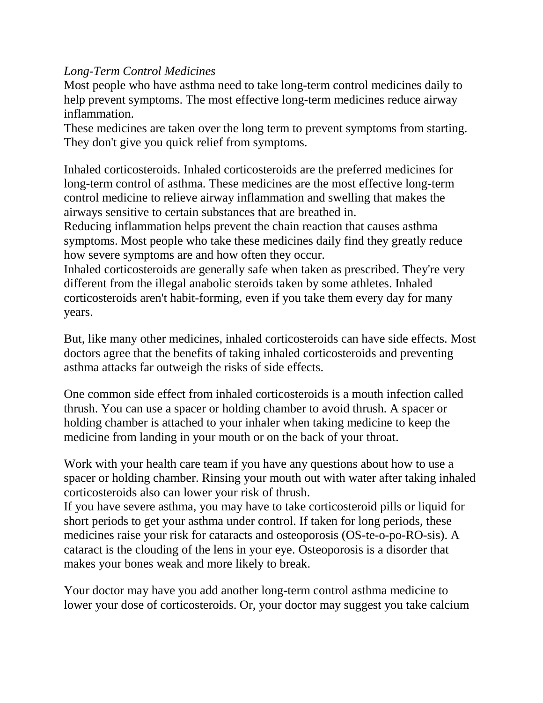#### *Long-Term Control Medicines*

Most people who have asthma need to take long-term control medicines daily to help prevent symptoms. The most effective long-term medicines reduce airway inflammation.

These medicines are taken over the long term to prevent symptoms from starting. They don't give you quick relief from symptoms.

Inhaled corticosteroids. Inhaled corticosteroids are the preferred medicines for long-term control of asthma. These medicines are the most effective long-term control medicine to relieve airway inflammation and swelling that makes the airways sensitive to certain substances that are breathed in.

Reducing inflammation helps prevent the chain reaction that causes asthma symptoms. Most people who take these medicines daily find they greatly reduce how severe symptoms are and how often they occur.

Inhaled corticosteroids are generally safe when taken as prescribed. They're very different from the illegal anabolic steroids taken by some athletes. Inhaled corticosteroids aren't habit-forming, even if you take them every day for many years.

But, like many other medicines, inhaled corticosteroids can have side effects. Most doctors agree that the benefits of taking inhaled corticosteroids and preventing asthma attacks far outweigh the risks of side effects.

One common side effect from inhaled corticosteroids is a mouth infection called thrush. You can use a spacer or holding chamber to avoid thrush. A spacer or holding chamber is attached to your inhaler when taking medicine to keep the medicine from landing in your mouth or on the back of your throat.

Work with your health care team if you have any questions about how to use a spacer or holding chamber. Rinsing your mouth out with water after taking inhaled corticosteroids also can lower your risk of thrush.

If you have severe asthma, you may have to take corticosteroid pills or liquid for short periods to get your asthma under control. If taken for long periods, these medicines raise your risk for cataracts and osteoporosis (OS-te-o-po-RO-sis). A cataract is the clouding of the lens in your eye. Osteoporosis is a disorder that makes your bones weak and more likely to break.

Your doctor may have you add another long-term control asthma medicine to lower your dose of corticosteroids. Or, your doctor may suggest you take calcium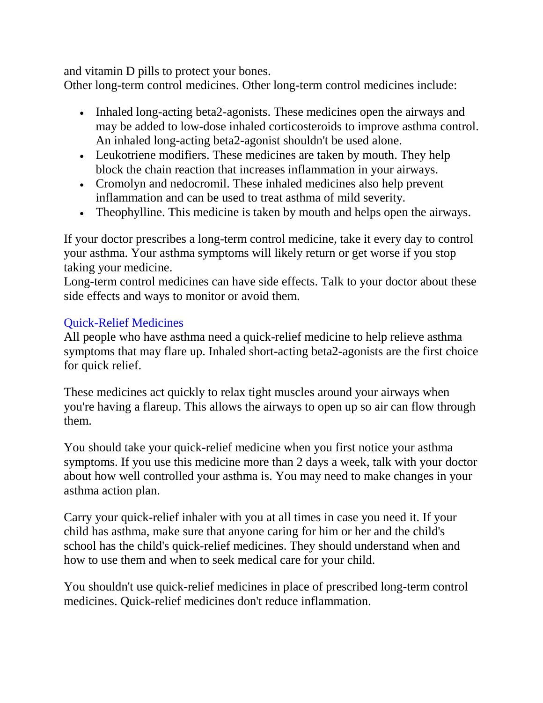and vitamin D pills to protect your bones.

Other long-term control medicines. Other long-term control medicines include:

- Inhaled long-acting beta2-agonists. These medicines open the airways and may be added to low-dose inhaled corticosteroids to improve asthma control. An inhaled long-acting beta2-agonist shouldn't be used alone.
- Leukotriene modifiers. These medicines are taken by mouth. They help block the chain reaction that increases inflammation in your airways.
- Cromolyn and nedocromil. These inhaled medicines also help prevent inflammation and can be used to treat asthma of mild severity.
- Theophylline. This medicine is taken by mouth and helps open the airways.

If your doctor prescribes a long-term control medicine, take it every day to control your asthma. Your asthma symptoms will likely return or get worse if you stop taking your medicine.

Long-term control medicines can have side effects. Talk to your doctor about these side effects and ways to monitor or avoid them.

# Quick-Relief Medicines

All people who have asthma need a quick-relief medicine to help relieve asthma symptoms that may flare up. Inhaled short-acting beta2-agonists are the first choice for quick relief.

These medicines act quickly to relax tight muscles around your airways when you're having a flareup. This allows the airways to open up so air can flow through them.

You should take your quick-relief medicine when you first notice your asthma symptoms. If you use this medicine more than 2 days a week, talk with your doctor about how well controlled your asthma is. You may need to make changes in your asthma action plan.

Carry your quick-relief inhaler with you at all times in case you need it. If your child has asthma, make sure that anyone caring for him or her and the child's school has the child's quick-relief medicines. They should understand when and how to use them and when to seek medical care for your child.

You shouldn't use quick-relief medicines in place of prescribed long-term control medicines. Quick-relief medicines don't reduce inflammation.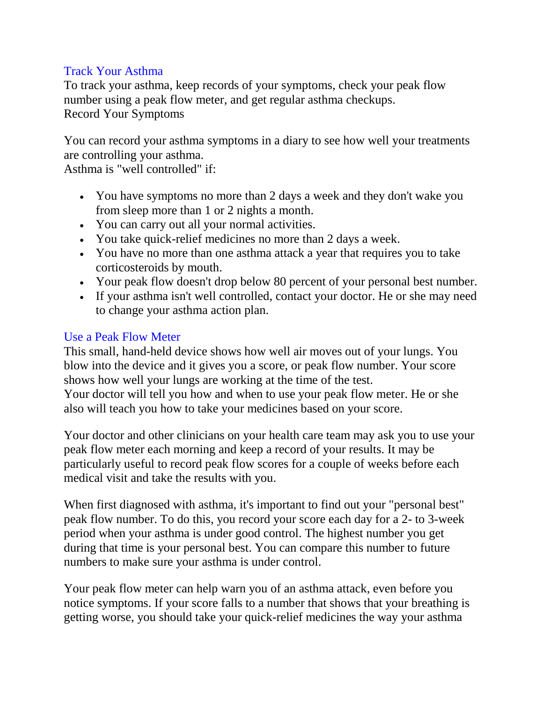# Track Your Asthma

To track your asthma, keep records of your symptoms, check your peak flow number using a peak flow meter, and get regular asthma checkups. Record Your Symptoms

You can record your asthma symptoms in a diary to see how well your treatments are controlling your asthma.

Asthma is "well controlled" if:

- You have symptoms no more than 2 days a week and they don't wake you from sleep more than 1 or 2 nights a month.
- You can carry out all your normal activities.
- You take quick-relief medicines no more than 2 days a week.
- You have no more than one asthma attack a year that requires you to take corticosteroids by mouth.
- Your peak flow doesn't drop below 80 percent of your personal best number.
- If your asthma isn't well controlled, contact your doctor. He or she may need to change your asthma action plan.

#### Use a Peak Flow Meter

This small, hand-held device shows how well air moves out of your lungs. You blow into the device and it gives you a score, or peak flow number. Your score shows how well your lungs are working at the time of the test.

Your doctor will tell you how and when to use your peak flow meter. He or she also will teach you how to take your medicines based on your score.

Your doctor and other clinicians on your health care team may ask you to use your peak flow meter each morning and keep a record of your results. It may be particularly useful to record peak flow scores for a couple of weeks before each medical visit and take the results with you.

When first diagnosed with asthma, it's important to find out your "personal best" peak flow number. To do this, you record your score each day for a 2- to 3-week period when your asthma is under good control. The highest number you get during that time is your personal best. You can compare this number to future numbers to make sure your asthma is under control.

Your peak flow meter can help warn you of an asthma attack, even before you notice symptoms. If your score falls to a number that shows that your breathing is getting worse, you should take your quick-relief medicines the way your asthma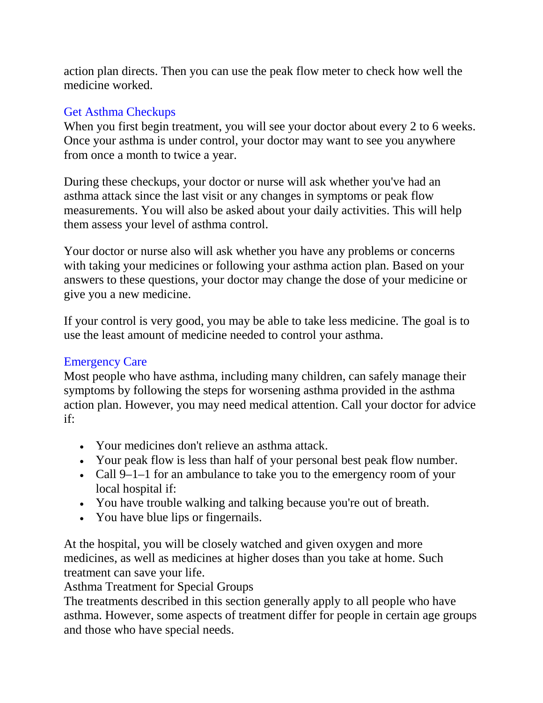action plan directs. Then you can use the peak flow meter to check how well the medicine worked.

# Get Asthma Checkups

When you first begin treatment, you will see your doctor about every 2 to 6 weeks. Once your asthma is under control, your doctor may want to see you anywhere from once a month to twice a year.

During these checkups, your doctor or nurse will ask whether you've had an asthma attack since the last visit or any changes in symptoms or peak flow measurements. You will also be asked about your daily activities. This will help them assess your level of asthma control.

Your doctor or nurse also will ask whether you have any problems or concerns with taking your medicines or following your asthma action plan. Based on your answers to these questions, your doctor may change the dose of your medicine or give you a new medicine.

If your control is very good, you may be able to take less medicine. The goal is to use the least amount of medicine needed to control your asthma.

# Emergency Care

Most people who have asthma, including many children, can safely manage their symptoms by following the steps for worsening asthma provided in the asthma action plan. However, you may need medical attention. Call your doctor for advice if:

- Your medicines don't relieve an asthma attack.
- Your peak flow is less than half of your personal best peak flow number.
- Call 9–1–1 for an ambulance to take you to the emergency room of your local hospital if:
- You have trouble walking and talking because you're out of breath.
- You have blue lips or fingernails.

At the hospital, you will be closely watched and given oxygen and more medicines, as well as medicines at higher doses than you take at home. Such treatment can save your life.

Asthma Treatment for Special Groups

The treatments described in this section generally apply to all people who have asthma. However, some aspects of treatment differ for people in certain age groups and those who have special needs.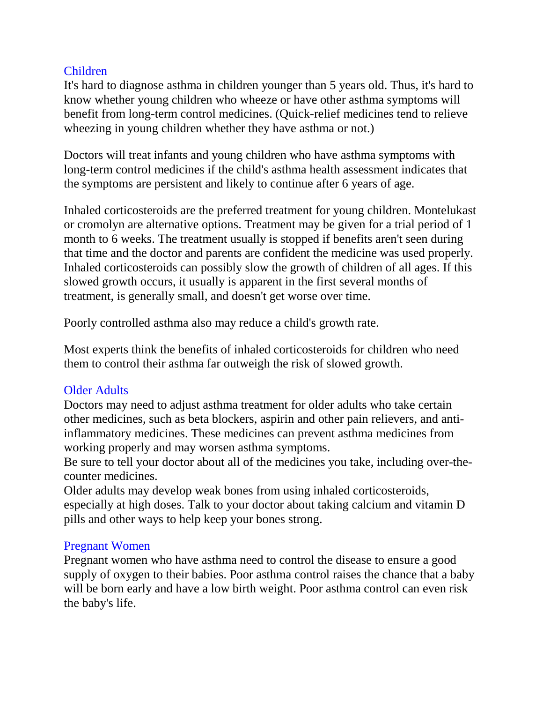# Children

It's hard to diagnose asthma in children younger than 5 years old. Thus, it's hard to know whether young children who wheeze or have other asthma symptoms will benefit from long-term control medicines. (Quick-relief medicines tend to relieve wheezing in young children whether they have asthma or not.)

Doctors will treat infants and young children who have asthma symptoms with long-term control medicines if the child's asthma health assessment indicates that the symptoms are persistent and likely to continue after 6 years of age.

Inhaled corticosteroids are the preferred treatment for young children. Montelukast or cromolyn are alternative options. Treatment may be given for a trial period of 1 month to 6 weeks. The treatment usually is stopped if benefits aren't seen during that time and the doctor and parents are confident the medicine was used properly. Inhaled corticosteroids can possibly slow the growth of children of all ages. If this slowed growth occurs, it usually is apparent in the first several months of treatment, is generally small, and doesn't get worse over time.

Poorly controlled asthma also may reduce a child's growth rate.

Most experts think the benefits of inhaled corticosteroids for children who need them to control their asthma far outweigh the risk of slowed growth.

# Older Adults

Doctors may need to adjust asthma treatment for older adults who take certain other medicines, such as beta blockers, aspirin and other pain relievers, and antiinflammatory medicines. These medicines can prevent asthma medicines from working properly and may worsen asthma symptoms.

Be sure to tell your doctor about all of the medicines you take, including over-thecounter medicines.

Older adults may develop weak bones from using inhaled corticosteroids, especially at high doses. Talk to your doctor about taking calcium and vitamin D pills and other ways to help keep your bones strong.

# Pregnant Women

Pregnant women who have asthma need to control the disease to ensure a good supply of oxygen to their babies. Poor asthma control raises the chance that a baby will be born early and have a low birth weight. Poor asthma control can even risk the baby's life.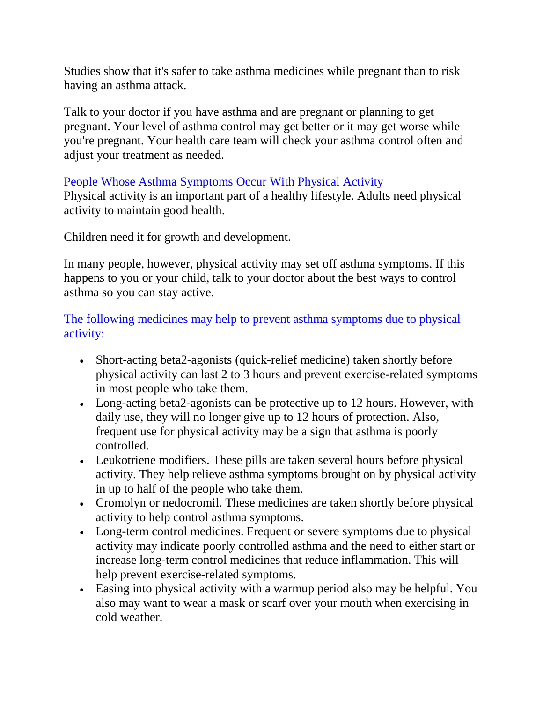Studies show that it's safer to take asthma medicines while pregnant than to risk having an asthma attack.

Talk to your doctor if you have asthma and are pregnant or planning to get pregnant. Your level of asthma control may get better or it may get worse while you're pregnant. Your health care team will check your asthma control often and adjust your treatment as needed.

# People Whose Asthma Symptoms Occur With Physical Activity

Physical activity is an important part of a healthy lifestyle. Adults need physical activity to maintain good health.

Children need it for growth and development.

In many people, however, physical activity may set off asthma symptoms. If this happens to you or your child, talk to your doctor about the best ways to control asthma so you can stay active.

The following medicines may help to prevent asthma symptoms due to physical activity:

- Short-acting beta2-agonists (quick-relief medicine) taken shortly before physical activity can last 2 to 3 hours and prevent exercise-related symptoms in most people who take them.
- Long-acting beta2-agonists can be protective up to 12 hours. However, with daily use, they will no longer give up to 12 hours of protection. Also, frequent use for physical activity may be a sign that asthma is poorly controlled.
- Leukotriene modifiers. These pills are taken several hours before physical activity. They help relieve asthma symptoms brought on by physical activity in up to half of the people who take them.
- Cromolyn or nedocromil. These medicines are taken shortly before physical activity to help control asthma symptoms.
- Long-term control medicines. Frequent or severe symptoms due to physical activity may indicate poorly controlled asthma and the need to either start or increase long-term control medicines that reduce inflammation. This will help prevent exercise-related symptoms.
- Easing into physical activity with a warmup period also may be helpful. You also may want to wear a mask or scarf over your mouth when exercising in cold weather.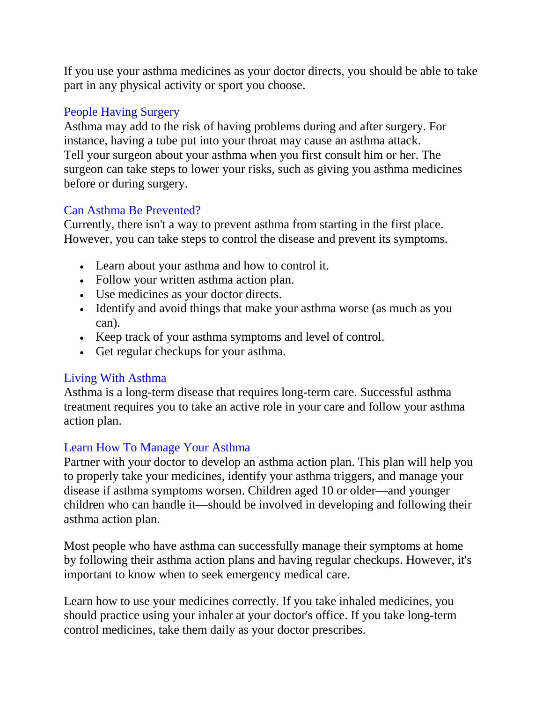If you use your asthma medicines as your doctor directs, you should be able to take part in any physical activity or sport you choose.

# People Having Surgery

Asthma may add to the risk of having problems during and after surgery. For instance, having a tube put into your throat may cause an asthma attack. Tell your surgeon about your asthma when you first consult him or her. The surgeon can take steps to lower your risks, such as giving you asthma medicines before or during surgery.

#### Can Asthma Be Prevented?

Currently, there isn't a way to prevent asthma from starting in the first place. However, you can take steps to control the disease and prevent its symptoms.

- Learn about your asthma and how to control it.
- Follow your written asthma action plan.
- Use medicines as your doctor directs.
- Identify and avoid things that make your asthma worse (as much as you can).
- Keep track of your asthma symptoms and level of control.
- Get regular checkups for your asthma.

# Living With Asthma

Asthma is a long-term disease that requires long-term care. Successful asthma treatment requires you to take an active role in your care and follow your asthma action plan.

#### Learn How To Manage Your Asthma

Partner with your doctor to develop an asthma action plan. This plan will help you to properly take your medicines, identify your asthma triggers, and manage your disease if asthma symptoms worsen. Children aged 10 or older—and younger children who can handle it—should be involved in developing and following their asthma action plan.

Most people who have asthma can successfully manage their symptoms at home by following their asthma action plans and having regular checkups. However, it's important to know when to seek emergency medical care.

Learn how to use your medicines correctly. If you take inhaled medicines, you should practice using your inhaler at your doctor's office. If you take long-term control medicines, take them daily as your doctor prescribes.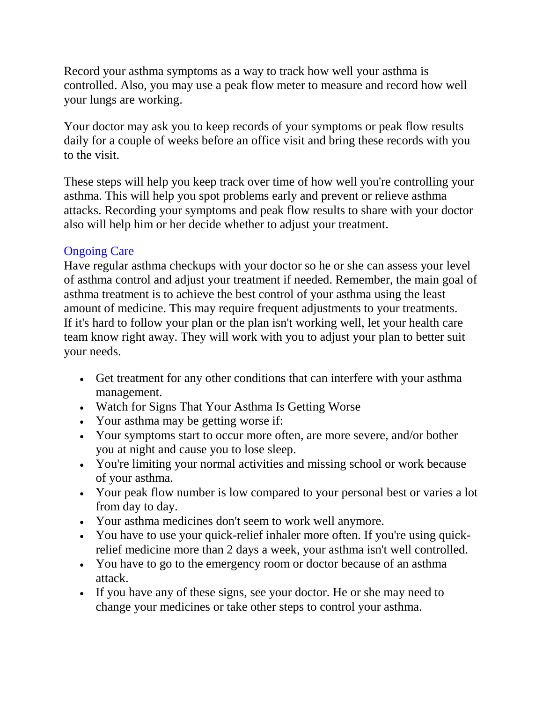Record your asthma symptoms as a way to track how well your asthma is controlled. Also, you may use a peak flow meter to measure and record how well your lungs are working.

Your doctor may ask you to keep records of your symptoms or peak flow results daily for a couple of weeks before an office visit and bring these records with you to the visit.

These steps will help you keep track over time of how well you're controlling your asthma. This will help you spot problems early and prevent or relieve asthma attacks. Recording your symptoms and peak flow results to share with your doctor also will help him or her decide whether to adjust your treatment.

# Ongoing Care

Have regular asthma checkups with your doctor so he or she can assess your level of asthma control and adjust your treatment if needed. Remember, the main goal of asthma treatment is to achieve the best control of your asthma using the least amount of medicine. This may require frequent adjustments to your treatments. If it's hard to follow your plan or the plan isn't working well, let your health care team know right away. They will work with you to adjust your plan to better suit your needs.

- Get treatment for any other conditions that can interfere with your asthma management.
- Watch for Signs That Your Asthma Is Getting Worse
- Your asthma may be getting worse if:
- Your symptoms start to occur more often, are more severe, and/or bother you at night and cause you to lose sleep.
- You're limiting your normal activities and missing school or work because of your asthma.
- Your peak flow number is low compared to your personal best or varies a lot from day to day.
- Your asthma medicines don't seem to work well anymore.
- You have to use your quick-relief inhaler more often. If you're using quickrelief medicine more than 2 days a week, your asthma isn't well controlled.
- You have to go to the emergency room or doctor because of an asthma attack.
- If you have any of these signs, see your doctor. He or she may need to change your medicines or take other steps to control your asthma.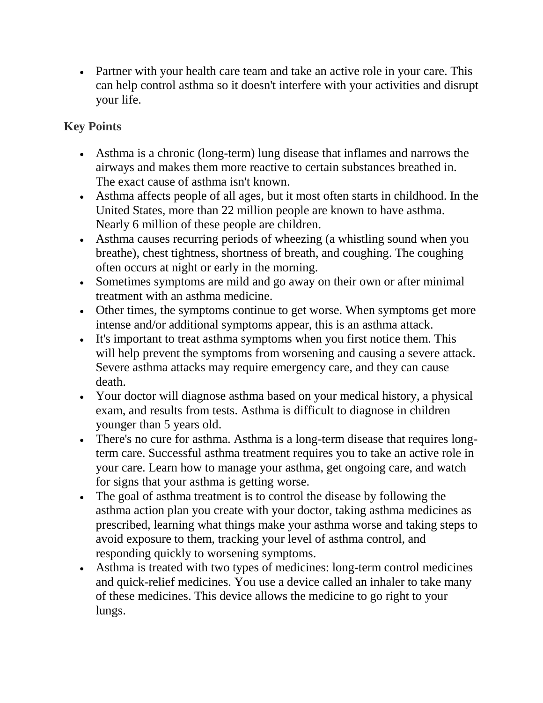• Partner with your health care team and take an active role in your care. This can help control asthma so it doesn't interfere with your activities and disrupt your life.

# **Key Points**

- Asthma is a chronic (long-term) lung disease that inflames and narrows the airways and makes them more reactive to certain substances breathed in. The exact cause of asthma isn't known.
- Asthma affects people of all ages, but it most often starts in childhood. In the United States, more than 22 million people are known to have asthma. Nearly 6 million of these people are children.
- Asthma causes recurring periods of wheezing (a whistling sound when you breathe), chest tightness, shortness of breath, and coughing. The coughing often occurs at night or early in the morning.
- Sometimes symptoms are mild and go away on their own or after minimal treatment with an asthma medicine.
- Other times, the symptoms continue to get worse. When symptoms get more intense and/or additional symptoms appear, this is an asthma attack.
- It's important to treat asthma symptoms when you first notice them. This will help prevent the symptoms from worsening and causing a severe attack. Severe asthma attacks may require emergency care, and they can cause death.
- Your doctor will diagnose asthma based on your medical history, a physical exam, and results from tests. Asthma is difficult to diagnose in children younger than 5 years old.
- There's no cure for asthma. Asthma is a long-term disease that requires longterm care. Successful asthma treatment requires you to take an active role in your care. Learn how to manage your asthma, get ongoing care, and watch for signs that your asthma is getting worse.
- The goal of asthma treatment is to control the disease by following the asthma action plan you create with your doctor, taking asthma medicines as prescribed, learning what things make your asthma worse and taking steps to avoid exposure to them, tracking your level of asthma control, and responding quickly to worsening symptoms.
- Asthma is treated with two types of medicines: long-term control medicines and quick-relief medicines. You use a device called an inhaler to take many of these medicines. This device allows the medicine to go right to your lungs.